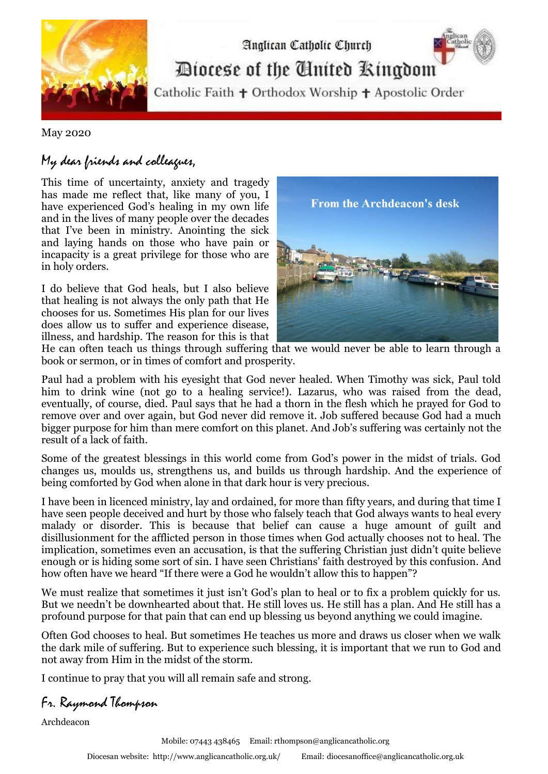

Diocese of the United Kingdom

Analican Catholic Church

Catholic Faith + Orthodox Worship + Apostolic Order

May 2020

## My dear friends and colleagues,

This time of uncertainty, anxiety and tragedy has made me reflect that, like many of you, I have experienced God's healing in my own life and in the lives of many people over the decades that I've been in ministry. Anointing the sick and laying hands on those who have pain or incapacity is a great privilege for those who are in holy orders.

I do believe that God heals, but I also believe that healing is not always the only path that He chooses for us. Sometimes His plan for our lives does allow us to suffer and experience disease, illness, and hardship. The reason for this is that



He can often teach us things through suffering that we would never be able to learn through a book or sermon, or in times of comfort and prosperity.

Paul had a problem with his eyesight that God never healed. When Timothy was sick, Paul told him to drink wine (not go to a healing service!). Lazarus, who was raised from the dead, eventually, of course, died. Paul says that he had a thorn in the flesh which he prayed for God to remove over and over again, but God never did remove it. Job suffered because God had a much bigger purpose for him than mere comfort on this planet. And Job's suffering was certainly not the result of a lack of faith.

Some of the greatest blessings in this world come from God's power in the midst of trials. God changes us, moulds us, strengthens us, and builds us through hardship. And the experience of being comforted by God when alone in that dark hour is very precious.

I have been in licenced ministry, lay and ordained, for more than fifty years, and during that time I have seen people deceived and hurt by those who falsely teach that God always wants to heal every malady or disorder. This is because that belief can cause a huge amount of guilt and disillusionment for the afflicted person in those times when God actually chooses not to heal. The implication, sometimes even an accusation, is that the suffering Christian just didn't quite believe enough or is hiding some sort of sin. I have seen Christians' faith destroyed by this confusion. And how often have we heard "If there were a God he wouldn't allow this to happen"?

We must realize that sometimes it just isn't God's plan to heal or to fix a problem quickly for us. But we needn't be downhearted about that. He still loves us. He still has a plan. And He still has a profound purpose for that pain that can end up blessing us beyond anything we could imagine.

Often God chooses to heal. But sometimes He teaches us more and draws us closer when we walk the dark mile of suffering. But to experience such blessing, it is important that we [run to God and](http://wp.me/p2oOiQ-2l)  [not away from Him](http://wp.me/p2oOiQ-2l) in the midst of the storm.

I continue to pray that you will all remain safe and strong.

Fr. Raymond Thompson

Archdeacon